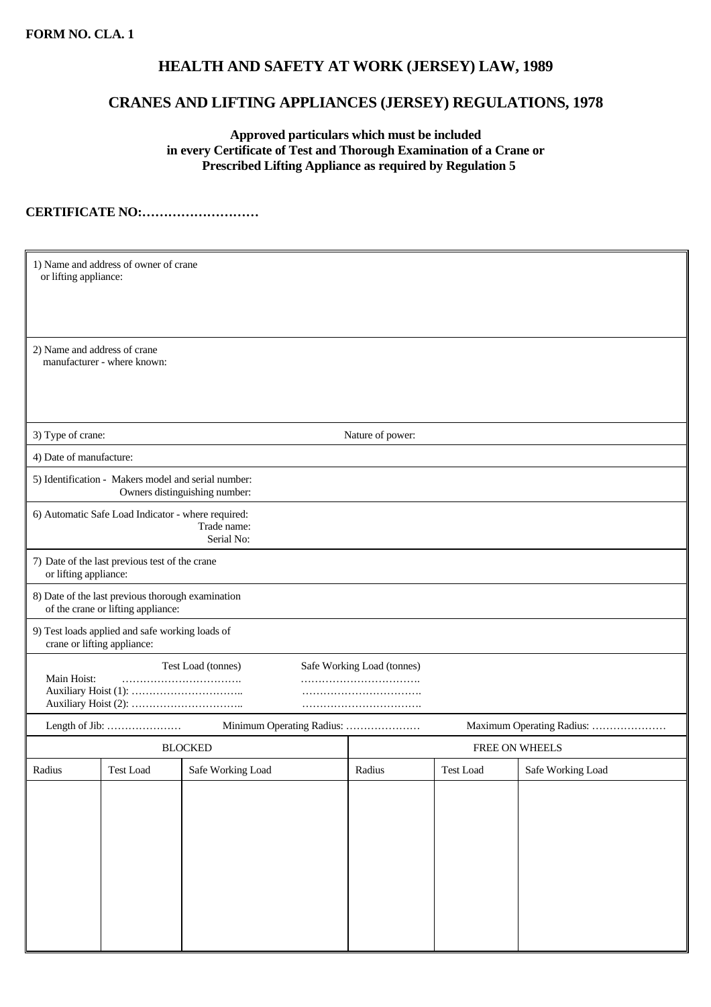## **HEALTH AND SAFETY AT WORK (JERSEY) LAW, 1989**

## **CRANES AND LIFTING APPLIANCES (JERSEY) REGULATIONS, 1978**

 **Approved particulars which must be included in every Certificate of Test and Thorough Examination of a Crane or Prescribed Lifting Appliance as required by Regulation 5** 

**CERTIFICATE NO:………………………**

| 1) Name and address of owner of crane<br>or lifting appliance:                          |                  |                   |                |                  |                   |  |  |  |  |  |
|-----------------------------------------------------------------------------------------|------------------|-------------------|----------------|------------------|-------------------|--|--|--|--|--|
| 2) Name and address of crane<br>manufacturer - where known:                             |                  |                   |                |                  |                   |  |  |  |  |  |
| 3) Type of crane:<br>Nature of power:                                                   |                  |                   |                |                  |                   |  |  |  |  |  |
| 4) Date of manufacture:                                                                 |                  |                   |                |                  |                   |  |  |  |  |  |
| 5) Identification - Makers model and serial number:<br>Owners distinguishing number:    |                  |                   |                |                  |                   |  |  |  |  |  |
| 6) Automatic Safe Load Indicator - where required:<br>Trade name:<br>Serial No:         |                  |                   |                |                  |                   |  |  |  |  |  |
| 7) Date of the last previous test of the crane<br>or lifting appliance:                 |                  |                   |                |                  |                   |  |  |  |  |  |
| 8) Date of the last previous thorough examination<br>of the crane or lifting appliance: |                  |                   |                |                  |                   |  |  |  |  |  |
| 9) Test loads applied and safe working loads of<br>crane or lifting appliance:          |                  |                   |                |                  |                   |  |  |  |  |  |
| Test Load (tonnes)<br>Safe Working Load (tonnes)                                        |                  |                   |                |                  |                   |  |  |  |  |  |
| Main Hoist:                                                                             |                  |                   |                |                  |                   |  |  |  |  |  |
| Minimum Operating Radius:<br>Maximum Operating Radius:<br>Length of Jib:                |                  |                   |                |                  |                   |  |  |  |  |  |
|                                                                                         |                  | <b>BLOCKED</b>    | FREE ON WHEELS |                  |                   |  |  |  |  |  |
| Radius                                                                                  | <b>Test Load</b> | Safe Working Load | Radius         | <b>Test Load</b> | Safe Working Load |  |  |  |  |  |
|                                                                                         |                  |                   |                |                  |                   |  |  |  |  |  |